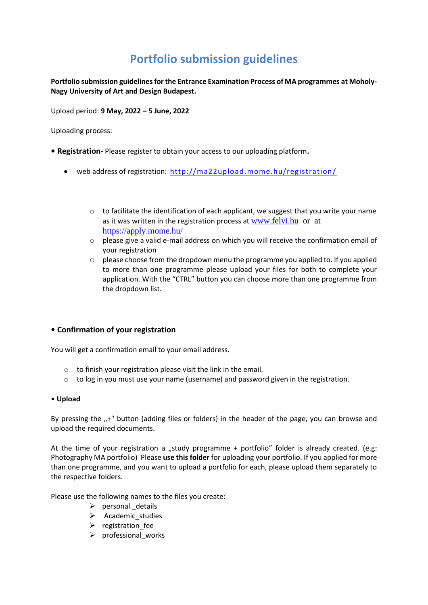# **Portfolio submission guidelines**

**Portfolio submission guidelines for the Entrance Examination Process of MA programmes at Moholy-Nagy University of Art and Design Budapest.**

Upload period: **9 May, 2022 – 5 June, 2022**

Uploading process:

- **Registration-** Please register to obtain your access to our uploading platform**.**
	- web address of registration:<http://ma22upload.mome.hu/registration/>
		- $\circ$  to facilitate the identification of each applicant, we suggest that you write your name as it was written in the registration process at [www.felvi.hu](http://www.felvi.hu/) or at <https://apply.mome.hu/>
		- o please give a valid e-mail address on which you will receive the confirmation email of your registration
		- $\circ$  please choose from the dropdown menu the programme you applied to. If you applied to more than one programme please upload your files for both to complete your application. With the "CTRL" button you can choose more than one programme from the dropdown list.

## **• Confirmation of your registration**

You will get a confirmation email to your email address.

- o to finish your registration please visit the link in the email.
- $\circ$  to log in you must use your name (username) and password given in the registration.

#### • **Upload**

By pressing the "+" button (adding files or folders) in the header of the page, you can browse and upload the required documents.

At the time of your registration a "study programme + portfolio" folder is already created. (e.g: Photography MA portfolio) Please **use this folder** for uploading your portfolio. If you applied for more than one programme, and you want to upload a portfolio for each, please upload them separately to the respective folders.

Please use the following names to the files you create:

- ➢ personal \_details
- ➢ Academic\_studies
- ➢ registration\_fee
- $\triangleright$  professional works